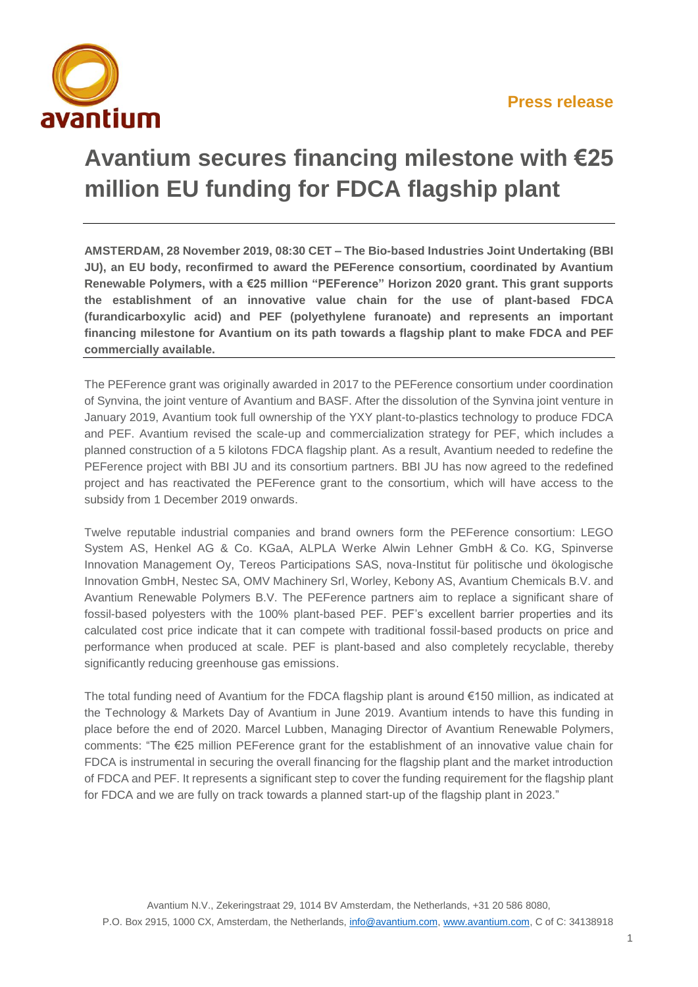

## **Avantium secures financing milestone with €25 million EU funding for FDCA flagship plant**

**AMSTERDAM, 28 November 2019, 08:30 CET – The Bio-based Industries Joint Undertaking (BBI JU), an EU body, reconfirmed to award the PEFerence consortium, coordinated by Avantium Renewable Polymers, with a €25 million "PEFerence" Horizon 2020 grant. This grant supports the establishment of an innovative value chain for the use of plant-based FDCA (furandicarboxylic acid) and PEF (polyethylene furanoate) and represents an important financing milestone for Avantium on its path towards a flagship plant to make FDCA and PEF commercially available.**

The PEFerence grant was originally awarded in 2017 to the PEFerence consortium under coordination of Synvina, the joint venture of Avantium and BASF. After the dissolution of the Synvina joint venture in January 2019, Avantium took full ownership of the YXY plant-to-plastics technology to produce FDCA and PEF. Avantium revised the scale-up and commercialization strategy for PEF, which includes a planned construction of a 5 kilotons FDCA flagship plant. As a result, Avantium needed to redefine the PEFerence project with BBI JU and its consortium partners. BBI JU has now agreed to the redefined project and has reactivated the PEFerence grant to the consortium, which will have access to the subsidy from 1 December 2019 onwards.

Twelve reputable industrial companies and brand owners form the PEFerence consortium: LEGO System AS, Henkel AG & Co. KGaA, ALPLA Werke Alwin Lehner GmbH & Co. KG, Spinverse Innovation Management Oy, Tereos Participations SAS, nova-Institut für politische und ökologische Innovation GmbH, Nestec SA, OMV Machinery Srl, Worley, Kebony AS, Avantium Chemicals B.V. and Avantium Renewable Polymers B.V. The PEFerence partners aim to replace a significant share of fossil-based polyesters with the 100% plant-based PEF. PEF's excellent barrier properties and its calculated cost price indicate that it can compete with traditional fossil-based products on price and performance when produced at scale. PEF is plant-based and also completely recyclable, thereby significantly reducing greenhouse gas emissions.

The total funding need of Avantium for the FDCA flagship plant is around €150 million, as indicated at the Technology & Markets Day of Avantium in June 2019. Avantium intends to have this funding in place before the end of 2020. Marcel Lubben, Managing Director of Avantium Renewable Polymers, comments: "The €25 million PEFerence grant for the establishment of an innovative value chain for FDCA is instrumental in securing the overall financing for the flagship plant and the market introduction of FDCA and PEF. It represents a significant step to cover the funding requirement for the flagship plant for FDCA and we are fully on track towards a planned start-up of the flagship plant in 2023."